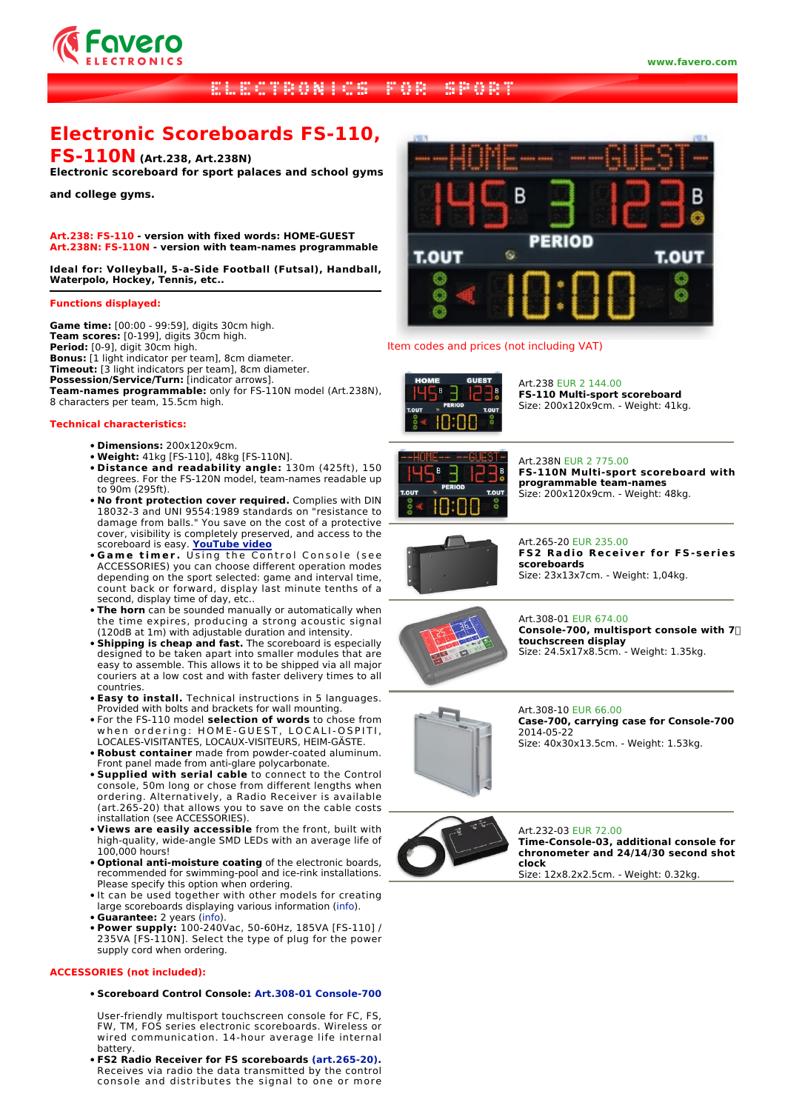

## **BEECTRONICS FOR SPORT And**

# **Electronic Scoreboards FS-110,**

# **FS-110N (Art.238, Art.238N)**

**Electronic scoreboard for sport palaces and school gyms**

**and college gyms.**

**Art.238: FS-110 - version with fixed words: HOME-GUEST Art.238N: FS-110N - version with team-names programmable**

**Ideal for: Volleyball, 5-a-Side Football (Futsal), Handball, Waterpolo, Hockey, Tennis, etc..**

## **Functions displayed:**

**Game time:** [00:00 - 99:59], digits 30cm high. **Team scores:** [0-199], digits 30cm high. **Period:** [0-9], digit 30cm high. **Bonus:** [1 light indicator per team], 8cm diameter. **Timeout:** [3 light indicators per team], 8cm diameter. **Possession/Service/Turn:** [indicator arrows]. **Team-names programmable:** only for FS-110N model (Art.238N), 8 characters per team, 15.5cm high.

#### **Technical characteristics:**

- **Dimensions:** 200x120x9cm.
- **Weight:** 41kg [FS-110], 48kg [FS-110N].
- **Distance and readability angle:** 130m (425ft), 150 degrees. For the FS-120N model, team-names readable up to 90m (295ft).
- **No front protection cover required.** Complies with DIN 18032-3 and UNI 9554:1989 standards on "resistance to damage from balls." You save on the cost of a protective cover, visibility is completely preserved, and access to the scoreboard is easy. **YouTube video**
- **Game timer.** Using the Control Console (see ACCESSORIES) you can choose different operation modes depending on the sport selected: game and interval time, count back or forward, display last minute tenths of a second, display time of day, etc..
- **The horn** can be sounded manually or automatically when the time expires, producing a strong acoustic signal (120dB at 1m) with adjustable duration and intensity.
- **Shipping is cheap and fast.** The scoreboard is especially designed to be taken apart into smaller modules that are easy to assemble. This allows it to be shipped via all major couriers at a low cost and with faster delivery times to all countries.
- **Easy to install.** Technical instructions in 5 languages. Provided with bolts and brackets for wall mounting.
- For the FS-110 model **selection of words** to chose from when ordering: HOME-GUEST, LOCALI-OSPITI, LOCALES-VISITANTES, LOCAUX-VISITEURS, HEIM-GÄSTE.
- **Robust container** made from powder-coated aluminum. Front panel made from anti-glare polycarbonate.
- **Supplied with serial cable** to connect to the Control console, 50m long or chose from different lengths when ordering. Alternatively, a Radio Receiver is available (art.265-20) that allows you to save on the cable costs installation (see ACCESSORIES).
- **Views are easily accessible** from the front, built with high-quality, wide-angle SMD LEDs with an average life of 100,000 hours!
- **Optional anti-moisture coating** of the electronic boards, recommended for swimming-pool and ice-rink installations. Please specify this option when ordering.
- It can be used together with other models for creating large scoreboards displaying various information (info).
- **Guarantee:** 2 years (info).
- **Power supply:** 100-240Vac, 50-60Hz, 185VA [FS-110] / 235VA [FS-110N]. Select the type of plug for the power supply cord when ordering.

#### **ACCESSORIES (not included):**

**Scoreboard Control Console: Art.308-01 Console-700** •

User-friendly multisport touchscreen console for FC, FS, FW, TM, FOS series electronic scoreboards. Wireless or wired communication. 14-hour average life internal battery.

**FS2 Radio Receiver for FS scoreboards (art.265-20).** • Receives via radio the data transmitted by the control console and distributes the signal to one or more



#### Item codes and prices (not including VAT)



Art.238 EUR 2 144.00 **FS-110 Multi-sport scoreboard** Size: 200x120x9cm. - Weight: 41kg.



Art.238N EUR 2 775.00 **FS-110N Multi-sport scoreboard with programmable team-names** Size: 200x120x9cm. - Weight: 48kg.



Art.265-20 EUR 235.00 **FS2 Radio Receiver for FS-series scoreboards** Size: 23x13x7cm. - Weight: 1,04kg.

## Art.308-01 EUR 674.00 **Console-700, multisport console with 7 touchscreen display** Size: 24.5x17x8.5cm. - Weight: 1.35kg.



Art.308-10 EUR 66.00 **Case-700, carrying case for Console-700** 2014-05-22 Size: 40x30x13.5cm. - Weight: 1.53kg.



Art.232-03 EUR 72.00 **Time-Console-03, additional console for chronometer and 24/14/30 second shot clock** Size: 12x8.2x2.5cm. - Weight: 0.32kg.